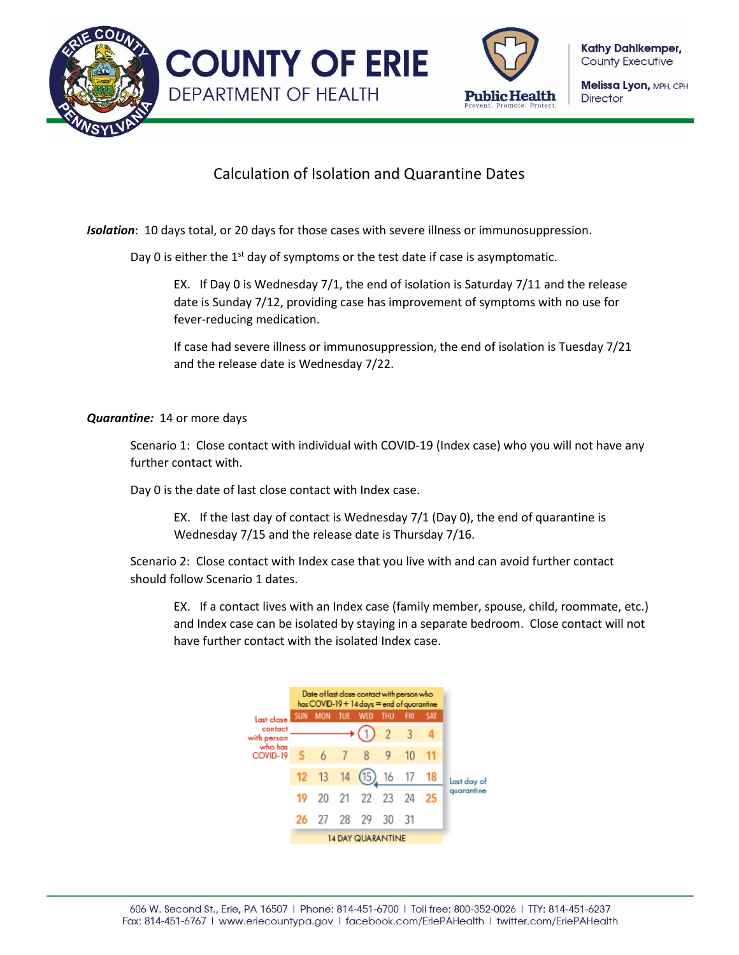



**Kathy Dahlkemper, County Executive** 

Melissa Lyon, MPH, CPH **Director** 

## Calculation of Isolation and Quarantine Dates

*Isolation*: 10 days total, or 20 days for those cases with severe illness or immunosuppression.

Day 0 is either the  $1<sup>st</sup>$  day of symptoms or the test date if case is asymptomatic.

EX. If Day 0 is Wednesday 7/1, the end of isolation is Saturday 7/11 and the release date is Sunday 7/12, providing case has improvement of symptoms with no use for fever-reducing medication.

If case had severe illness or immunosuppression, the end of isolation is Tuesday 7/21 and the release date is Wednesday 7/22.

## *Quarantine:* 14 or more days

Scenario 1: Close contact with individual with COVID-19 (Index case) who you will not have any further contact with.

Day 0 is the date of last close contact with Index case.

EX. If the last day of contact is Wednesday 7/1 (Day 0), the end of quarantine is Wednesday 7/15 and the release date is Thursday 7/16.

Scenario 2: Close contact with Index case that you live with and can avoid further contact should follow Scenario 1 dates.

EX. If a contact lives with an Index case (family member, spouse, child, roommate, etc.) and Index case can be isolated by staying in a separate bedroom. Close contact will not have further contact with the isolated Index case.